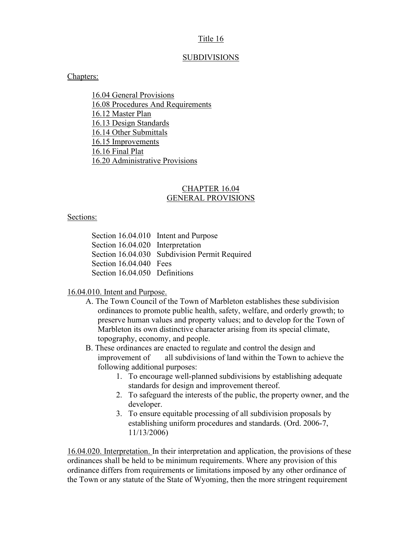### Title 16

### **SUBDIVISIONS**

#### Chapters:

16.04 General Provisions 16.08 Procedures And Requirements 16.12 Master Plan 16.13 Design Standards 16.14 Other Submittals 16.15 Improvements 16.16 Final Plat 16.20 Administrative Provisions

#### CHAPTER 16.04 GENERAL PROVISIONS

#### Sections:

Section 16.04.010 Intent and Purpose Section 16.04.020 Interpretation Section 16.04.030 Subdivision Permit Required Section 16.04.040 Fees Section 16.04.050 Definitions

### 16.04.010. Intent and Purpose.

- A. The Town Council of the Town of Marbleton establishes these subdivision ordinances to promote public health, safety, welfare, and orderly growth; to preserve human values and property values; and to develop for the Town of Marbleton its own distinctive character arising from its special climate, topography, economy, and people.
- B. These ordinances are enacted to regulate and control the design and improvement of all subdivisions of land within the Town to achieve the following additional purposes:
	- 1. To encourage well-planned subdivisions by establishing adequate standards for design and improvement thereof.
	- 2. To safeguard the interests of the public, the property owner, and the developer.
	- 3. To ensure equitable processing of all subdivision proposals by establishing uniform procedures and standards. (Ord. 2006-7, 11/13/2006)

16.04.020. Interpretation. In their interpretation and application, the provisions of these ordinances shall be held to be minimum requirements. Where any provision of this ordinance differs from requirements or limitations imposed by any other ordinance of the Town or any statute of the State of Wyoming, then the more stringent requirement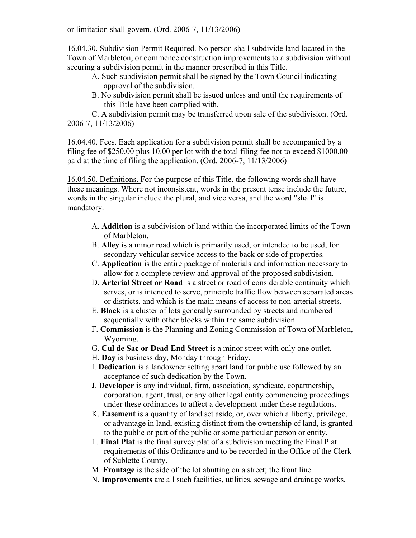or limitation shall govern. (Ord. 2006-7, 11/13/2006)

16.04.30. Subdivision Permit Required. No person shall subdivide land located in the Town of Marbleton, or commence construction improvements to a subdivision without securing a subdivision permit in the manner prescribed in this Title.

- A. Such subdivision permit shall be signed by the Town Council indicating approval of the subdivision.
- B. No subdivision permit shall be issued unless and until the requirements of this Title have been complied with.

C. A subdivision permit may be transferred upon sale of the subdivision. (Ord. 2006-7, 11/13/2006)

16.04.40. Fees. Each application for a subdivision permit shall be accompanied by a filing fee of \$250.00 plus 10.00 per lot with the total filing fee not to exceed \$1000.00 paid at the time of filing the application. (Ord. 2006-7, 11/13/2006)

16.04.50. Definitions. For the purpose of this Title, the following words shall have these meanings. Where not inconsistent, words in the present tense include the future, words in the singular include the plural, and vice versa, and the word "shall" is mandatory.

- A. Addition is a subdivision of land within the incorporated limits of the Town of Marbleton.
- B. Alley is a minor road which is primarily used, or intended to be used, for secondary vehicular service access to the back or side of properties.
- C. Application is the entire package of materials and information necessary to allow for a complete review and approval of the proposed subdivision.
- D. Arterial Street or Road is a street or road of considerable continuity which serves, or is intended to serve, principle traffic flow between separated areas or districts, and which is the main means of access to non-arterial streets.
- E. Block is a cluster of lots generally surrounded by streets and numbered sequentially with other blocks within the same subdivision.
- F. Commission is the Planning and Zoning Commission of Town of Marbleton, Wyoming.
- G. Cul de Sac or Dead End Street is a minor street with only one outlet.
- H. Day is business day, Monday through Friday.
- I. Dedication is a landowner setting apart land for public use followed by an acceptance of such dedication by the Town.
- J. Developer is any individual, firm, association, syndicate, copartnership, corporation, agent, trust, or any other legal entity commencing proceedings under these ordinances to affect a development under these regulations.
- K. Easement is a quantity of land set aside, or, over which a liberty, privilege, or advantage in land, existing distinct from the ownership of land, is granted to the public or part of the public or some particular person or entity.
- L. Final Plat is the final survey plat of a subdivision meeting the Final Plat requirements of this Ordinance and to be recorded in the Office of the Clerk of Sublette County.
- M. Frontage is the side of the lot abutting on a street; the front line.
- N. Improvements are all such facilities, utilities, sewage and drainage works,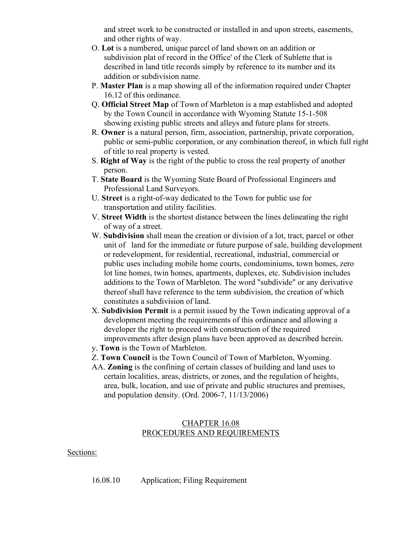and street work to be constructed or installed in and upon streets, easements, and other rights of way.

- O. Lot is a numbered, unique parcel of land shown on an addition or subdivision plat of record in the Office' of the Clerk of Sublette that is described in land title records simply by reference to its number and its addition or subdivision name.
- P. Master Plan is a map showing all of the information required under Chapter 16.12 of this ordinance.
- Q. Official Street Map of Town of Marbleton is a map established and adopted by the Town Council in accordance with Wyoming Statute 15-1-508 showing existing public streets and alleys and future plans for streets.
- R. Owner is a natural person, firm, association, partnership, private corporation, public or semi-public corporation, or any combination thereof, in which full right of title to real property is vested.
- S. Right of Way is the right of the public to cross the real property of another person.
- T. State Board is the Wyoming State Board of Professional Engineers and Professional Land Surveyors.
- U. Street is a right-of-way dedicated to the Town for public use for transportation and utility facilities.
- V. Street Width is the shortest distance between the lines delineating the right of way of a street.
- W. Subdivision shall mean the creation or division of a lot, tract, parcel or other unit of land for the immediate or future purpose of sale, building development or redevelopment, for residential, recreational, industrial, commercial or public uses including mobile home courts, condominiums, town homes, zero lot line homes, twin homes, apartments, duplexes, etc. Subdivision includes additions to the Town of Marbleton. The word "subdivide" or any derivative thereof shall have reference to the term subdivision, the creation of which constitutes a subdivision of land.
- X. Subdivision Permit is a permit issued by the Town indicating approval of a development meeting the requirements of this ordinance and allowing a developer the right to proceed with construction of the required improvements after design plans have been approved as described herein.
- y. Town is the Town of Marbleton.
- Z. Town Council is the Town Council of Town of Marbleton, Wyoming.
- AA. Zoning is the confining of certain classes of building and land uses to certain localities, areas, districts, or zones, and the regulation of heights, area, bulk, location, and use of private and public structures and premises, and population density. (Ord. 2006-7, 11/13/2006)

## CHAPTER 16.08 PROCEDURES AND REQUIREMENTS

### Sections:

16.08.10 Application; Filing Requirement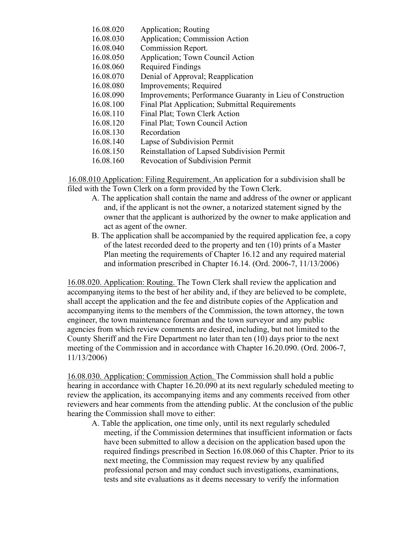| Application; Commission Action<br>16.08.030                             |  |
|-------------------------------------------------------------------------|--|
|                                                                         |  |
| 16.08.040<br>Commission Report.                                         |  |
| 16.08.050<br>Application; Town Council Action                           |  |
| 16.08.060<br><b>Required Findings</b>                                   |  |
| Denial of Approval; Reapplication<br>16.08.070                          |  |
| Improvements; Required<br>16.08.080                                     |  |
| Improvements; Performance Guaranty in Lieu of Construction<br>16.08.090 |  |
| 16.08.100<br><b>Final Plat Application; Submittal Requirements</b>      |  |
| 16.08.110<br>Final Plat; Town Clerk Action                              |  |
| 16.08.120<br>Final Plat; Town Council Action                            |  |
| 16.08.130<br>Recordation                                                |  |
| 16.08.140<br>Lapse of Subdivision Permit                                |  |
| Reinstallation of Lapsed Subdivision Permit<br>16.08.150                |  |
| <b>Revocation of Subdivision Permit</b><br>16.08.160                    |  |

16.08.010 Application: Filing Requirement. An application for a subdivision shall be filed with the Town Clerk on a form provided by the Town Clerk.

- A. The application shall contain the name and address of the owner or applicant and, if the applicant is not the owner, a notarized statement signed by the owner that the applicant is authorized by the owner to make application and act as agent of the owner.
- B. The application shall be accompanied by the required application fee, a copy of the latest recorded deed to the property and ten (10) prints of a Master Plan meeting the requirements of Chapter 16.12 and any required material and information prescribed in Chapter 16.14. (Ord. 2006-7, 11/13/2006)

16.08.020. Application: Routing. The Town Clerk shall review the application and accompanying items to the best of her ability and, if they are believed to be complete, shall accept the application and the fee and distribute copies of the Application and accompanying items to the members of the Commission, the town attorney, the town engineer, the town maintenance foreman and the town surveyor and any public agencies from which review comments are desired, including, but not limited to the County Sheriff and the Fire Department no later than ten (10) days prior to the next meeting of the Commission and in accordance with Chapter 16.20.090. (Ord. 2006-7, 11/13/2006)

16.08.030. Application: Commission Action. The Commission shall hold a public hearing in accordance with Chapter 16.20.090 at its next regularly scheduled meeting to review the application, its accompanying items and any comments received from other reviewers and hear comments from the attending public. At the conclusion of the public hearing the Commission shall move to either:

A. Table the application, one time only, until its next regularly scheduled meeting, if the Commission determines that insufficient information or facts have been submitted to allow a decision on the application based upon the required findings prescribed in Section 16.08.060 of this Chapter. Prior to its next meeting, the Commission may request review by any qualified professional person and may conduct such investigations, examinations, tests and site evaluations as it deems necessary to verify the information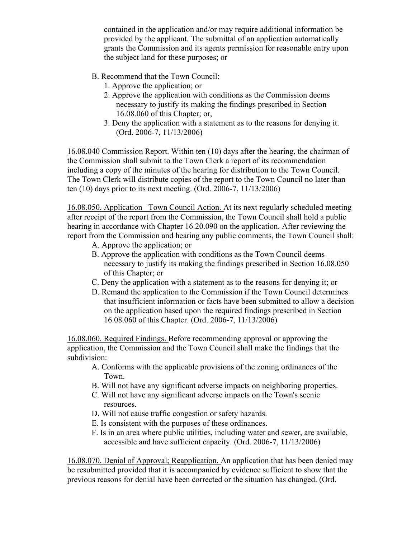contained in the application and/or may require additional information be provided by the applicant. The submittal of an application automatically grants the Commission and its agents permission for reasonable entry upon the subject land for these purposes; or

- B. Recommend that the Town Council:
	- 1. Approve the application; or
	- 2. Approve the application with conditions as the Commission deems necessary to justify its making the findings prescribed in Section 16.08.060 of this Chapter; or,
	- 3. Deny the application with a statement as to the reasons for denying it. (Ord. 2006-7, 11/13/2006)

16.08.040 Commission Report. Within ten (10) days after the hearing, the chairman of the Commission shall submit to the Town Clerk a report of its recommendation including a copy of the minutes of the hearing for distribution to the Town Council. The Town Clerk will distribute copies of the report to the Town Council no later than ten (10) days prior to its next meeting. (Ord. 2006-7, 11/13/2006)

16.08.050. Application\_ Town Council Action. At its next regularly scheduled meeting after receipt of the report from the Commission, the Town Council shall hold a public hearing in accordance with Chapter 16.20.090 on the application. After reviewing the report from the Commission and hearing any public comments, the Town Council shall:

- A. Approve the application; or
- B. Approve the application with conditions as the Town Council deems necessary to justify its making the findings prescribed in Section 16.08.050 of this Chapter; or
- C. Deny the application with a statement as to the reasons for denying it; or
- D. Remand the application to the Commission if the Town Council determines that insufficient information or facts have been submitted to allow a decision on the application based upon the required findings prescribed in Section 16.08.060 of this Chapter. (Ord. 2006-7, 11/13/2006)

16.08.060. Required Findings. Before recommending approval or approving the application, the Commission and the Town Council shall make the findings that the subdivision:

- A. Conforms with the applicable provisions of the zoning ordinances of the Town.
- B. Will not have any significant adverse impacts on neighboring properties.
- C. Will not have any significant adverse impacts on the Town's scenic resources.
- D. Will not cause traffic congestion or safety hazards.
- E. Is consistent with the purposes of these ordinances.
- F. Is in an area where public utilities, including water and sewer, are available, accessible and have sufficient capacity. (Ord. 2006-7, 11/13/2006)

16.08.070. Denial of Approval; Reapplication. An application that has been denied may be resubmitted provided that it is accompanied by evidence sufficient to show that the previous reasons for denial have been corrected or the situation has changed. (Ord.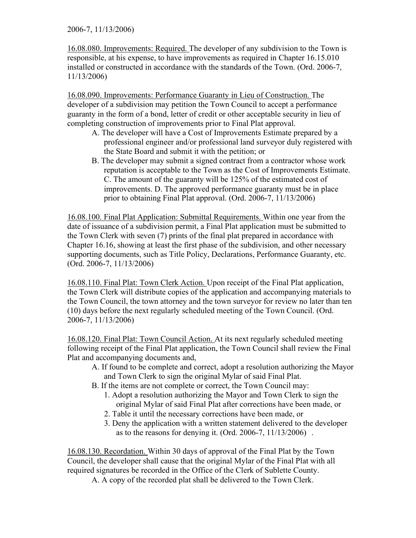2006-7, 11/13/2006)

16.08.080. Improvements: Required. The developer of any subdivision to the Town is responsible, at his expense, to have improvements as required in Chapter 16.15.010 installed or constructed in accordance with the standards of the Town. (Ord. 2006-7, 11/13/2006)

16.08.090. Improvements: Performance Guaranty in Lieu of Construction. The developer of a subdivision may petition the Town Council to accept a performance guaranty in the form of a bond, letter of credit or other acceptable security in lieu of completing construction of improvements prior to Final Plat approval.

- A. The developer will have a Cost of Improvements Estimate prepared by a professional engineer and/or professional land surveyor duly registered with the State Board and submit it with the petition; or
- B. The developer may submit a signed contract from a contractor whose work reputation is acceptable to the Town as the Cost of Improvements Estimate. C. The amount of the guaranty will be 125% of the estimated cost of improvements. D. The approved performance guaranty must be in place prior to obtaining Final Plat approval. (Ord. 2006-7, 11/13/2006)

16.08.100. Final Plat Application: Submittal Requirements. Within one year from the date of issuance of a subdivision permit, a Final Plat application must be submitted to the Town Clerk with seven (7) prints of the final plat prepared in accordance with Chapter 16.16, showing at least the first phase of the subdivision, and other necessary supporting documents, such as Title Policy, Declarations, Performance Guaranty, etc. (Ord. 2006-7, 11/13/2006)

16.08.110. Final Plat: Town Clerk Action. Upon receipt of the Final Plat application, the Town Clerk will distribute copies of the application and accompanying materials to the Town Council, the town attorney and the town surveyor for review no later than ten (10) days before the next regularly scheduled meeting of the Town Council. (Ord. 2006-7, 11/13/2006)

16.08.120. Final Plat: Town Council Action. At its next regularly scheduled meeting following receipt of the Final Plat application, the Town Council shall review the Final Plat and accompanying documents and,

- A. If found to be complete and correct, adopt a resolution authorizing the Mayor and Town Clerk to sign the original Mylar of said Final Plat.
- B. If the items are not complete or correct, the Town Council may:
	- 1. Adopt a resolution authorizing the Mayor and Town Clerk to sign the original Mylar of said Final Plat after corrections have been made, or
	- 2. Table it until the necessary corrections have been made, or
	- 3. Deny the application with a written statement delivered to the developer as to the reasons for denying it. (Ord. 2006-7, 11/13/2006) .

16.08.130. Recordation. Within 30 days of approval of the Final Plat by the Town Council, the developer shall cause that the original Mylar of the Final Plat with all required signatures be recorded in the Office of the Clerk of Sublette County.

A. A copy of the recorded plat shall be delivered to the Town Clerk.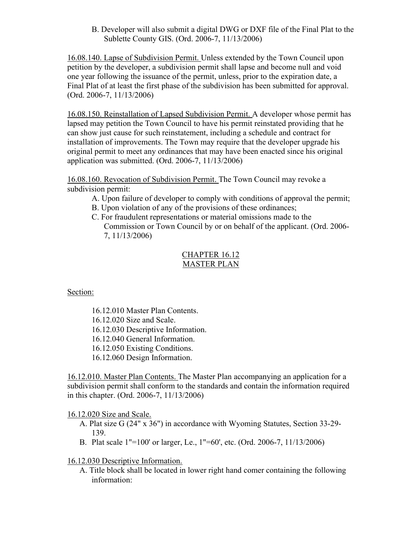B. Developer will also submit a digital DWG or DXF file of the Final Plat to the Sublette County GIS. (Ord. 2006-7, 11/13/2006)

16.08.140. Lapse of Subdivision Permit. Unless extended by the Town Council upon petition by the developer, a subdivision permit shall lapse and become null and void one year following the issuance of the permit, unless, prior to the expiration date, a Final Plat of at least the first phase of the subdivision has been submitted for approval. (Ord. 2006-7, 11/13/2006)

16.08.150. Reinstallation of Lapsed Subdivision Permit. A developer whose permit has lapsed may petition the Town Council to have his permit reinstated providing that he can show just cause for such reinstatement, including a schedule and contract for installation of improvements. The Town may require that the developer upgrade his original permit to meet any ordinances that may have been enacted since his original application was submitted. (Ord. 2006-7, 11/13/2006)

16.08.160. Revocation of Subdivision Permit. The Town Council may revoke a subdivision permit:

- A. Upon failure of developer to comply with conditions of approval the permit;
- B. Upon violation of any of the provisions of these ordinances;
- C. For fraudulent representations or material omissions made to the Commission or Town Council by or on behalf of the applicant. (Ord. 2006- 7, 11/13/2006)

## CHAPTER 16.12 MASTER PLAN

Section:

16.12.010 Master Plan Contents.

16.12.020 Size and Scale.

16.12.030 Descriptive Information.

16.12.040 General Information.

16.12.050 Existing Conditions.

16.12.060 Design Information.

16.12.010. Master Plan Contents. The Master Plan accompanying an application for a subdivision permit shall conform to the standards and contain the information required in this chapter. (Ord. 2006-7, 11/13/2006)

16.12.020 Size and Scale.

- A. Plat size G (24" x 36") in accordance with Wyoming Statutes, Section 33-29- 139.
- B. Plat scale 1"=100' or larger, Le., 1"=60', etc. (Ord. 2006-7, 11/13/2006)

## 16.12.030 Descriptive Information.

A. Title block shall be located in lower right hand comer containing the following information: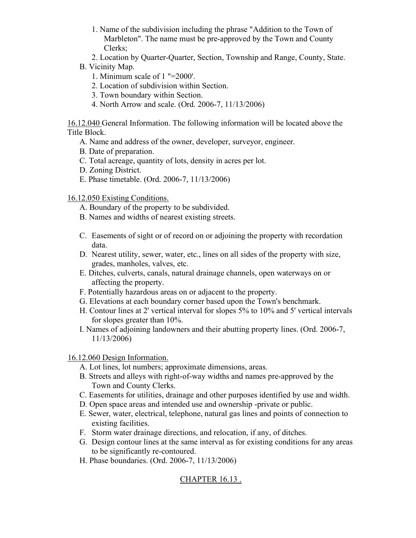- 1. Name of the subdivision including the phrase "Addition to the Town of Marbleton". The name must be pre-approved by the Town and County Clerks;
- 2. Location by Quarter-Quarter, Section, Township and Range, County, State.
- B. Vicinity Map.
	- 1. Minimum scale of 1 "=2000'.
	- 2. Location of subdivision within Section.
	- 3. Town boundary within Section.
	- 4. North Arrow and scale. (Ord. 2006-7, 11/13/2006)

16.12.040 General Information. The following information will be located above the Title Block.

- A. Name and address of the owner, developer, surveyor, engineer.
- B. Date of preparation.
- C. Total acreage, quantity of lots, density in acres per lot.
- D. Zoning District.
- E. Phase timetable. (Ord. 2006-7, 11/13/2006)

16.12.050 Existing Conditions.

- A. Boundary of the property to be subdivided.
- B. Names and widths of nearest existing streets.
- C. Easements of sight or of record on or adjoining the property with recordation data.
- D. Nearest utility, sewer, water, etc., lines on all sides of the property with size, grades, manholes, valves, etc.
- E. Ditches, culverts, canals, natural drainage channels, open waterways on or affecting the property.
- F. Potentially hazardous areas on or adjacent to the property.
- G. Elevations at each boundary corner based upon the Town's benchmark.
- H. Contour lines at 2' vertical interval for slopes 5% to 10% and 5' vertical intervals for slopes greater than 10%.
- I. Names of adjoining landowners and their abutting property lines. (Ord. 2006-7, 11/13/2006)

16.12.060 Design Information.

- A. Lot lines, lot numbers; approximate dimensions, areas.
- B. Streets and alleys with right-of-way widths and names pre-approved by the Town and County Clerks.
- C. Easements for utilities, drainage and other purposes identified by use and width.
- D. Open space areas and intended use and ownership -private or public.
- E. Sewer, water, electrical, telephone, natural gas lines and points of connection to existing facilities.
- F. Storm water drainage directions, and relocation, if any, of ditches.
- G. Design contour lines at the same interval as for existing conditions for any areas to be significantly re-contoured.
- H. Phase boundaries. (Ord. 2006-7, 11/13/2006)

# CHAPTER 16.13 .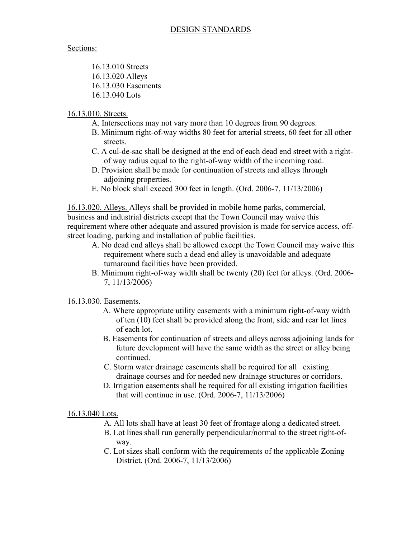### Sections:

16.13.010 Streets 16.13.020 Alleys 16.13.030 Easements 16.13.040 Lots

## 16.13.010. Streets.

- A. Intersections may not vary more than 10 degrees from 90 degrees.
- B. Minimum right-of-way widths 80 feet for arterial streets, 60 feet for all other streets.
- C. A cul-de-sac shall be designed at the end of each dead end street with a rightof way radius equal to the right-of-way width of the incoming road.
- D. Provision shall be made for continuation of streets and alleys through adjoining properties.
- E. No block shall exceed 300 feet in length. (Ord. 2006-7, 11/13/2006)

16.13.020. Alleys. Alleys shall be provided in mobile home parks, commercial, business and industrial districts except that the Town Council may waive this requirement where other adequate and assured provision is made for service access, offstreet loading, parking and installation of public facilities.

- A. No dead end alleys shall be allowed except the Town Council may waive this requirement where such a dead end alley is unavoidable and adequate turnaround facilities have been provided.
- B. Minimum right-of-way width shall be twenty (20) feet for alleys. (Ord. 2006- 7, 11/13/2006)

## 16.13.030. Easements.

- A. Where appropriate utility easements with a minimum right-of-way width of ten (10) feet shall be provided along the front, side and rear lot lines of each lot.
- B. Easements for continuation of streets and alleys across adjoining lands for future development will have the same width as the street or alley being continued.
- C. Storm water drainage easements shall be required for all existing drainage courses and for needed new drainage structures or corridors.
- D. Irrigation easements shall be required for all existing irrigation facilities that will continue in use. (Ord. 2006-7, 11/13/2006)

### 16.13.040 Lots.

- A. All lots shall have at least 30 feet of frontage along a dedicated street.
- B. Lot lines shall run generally perpendicular/normal to the street right-ofway.
- C. Lot sizes shall conform with the requirements of the applicable Zoning District. (Ord. 2006-7, 11/13/2006)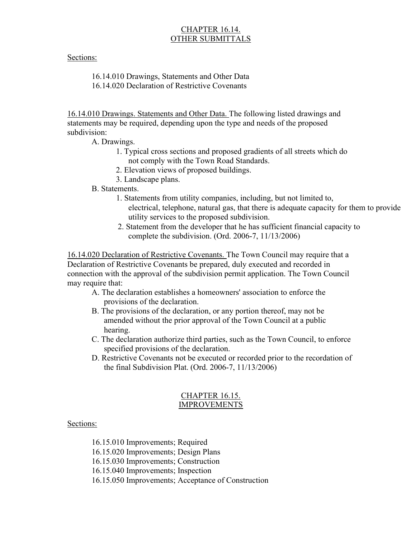## CHAPTER 16.14. OTHER SUBMITTALS

### Sections:

16.14.010 Drawings, Statements and Other Data 16.14.020 Declaration of Restrictive Covenants

16.14.010 Drawings. Statements and Other Data. The following listed drawings and statements may be required, depending upon the type and needs of the proposed subdivision:

A. Drawings.

- 1. Typical cross sections and proposed gradients of all streets which do not comply with the Town Road Standards.
- 2. Elevation views of proposed buildings.
- 3. Landscape plans.

B. Statements.

- 1. Statements from utility companies, including, but not limited to, electrical, telephone, natural gas, that there is adequate capacity for them to provide utility services to the proposed subdivision.
- 2. Statement from the developer that he has sufficient financial capacity to complete the subdivision. (Ord. 2006-7, 11/13/2006)

16.14.020 Declaration of Restrictive Covenants. The Town Council may require that a Declaration of Restrictive Covenants be prepared, duly executed and recorded in connection with the approval of the subdivision permit application. The Town Council may require that:

- A. The declaration establishes a homeowners' association to enforce the provisions of the declaration.
- B. The provisions of the declaration, or any portion thereof, may not be amended without the prior approval of the Town Council at a public hearing.
- C. The declaration authorize third parties, such as the Town Council, to enforce specified provisions of the declaration.
- D. Restrictive Covenants not be executed or recorded prior to the recordation of the final Subdivision Plat. (Ord. 2006-7, 11/13/2006)

### CHAPTER 16.15. IMPROVEMENTS

#### Sections:

16.15.010 Improvements; Required

16.15.020 Improvements; Design Plans

16.15.030 Improvements; Construction

16.15.040 Improvements; Inspection

16.15.050 Improvements; Acceptance of Construction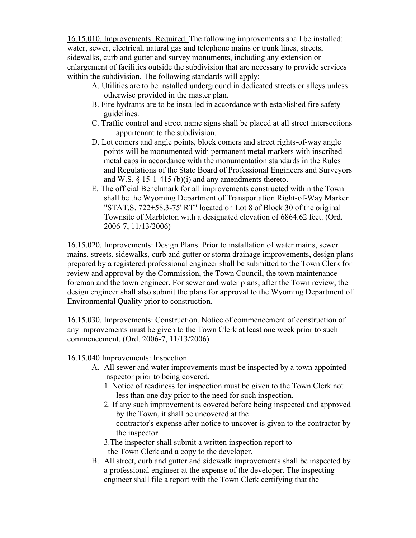16.15.010. Improvements: Required. The following improvements shall be installed: water, sewer, electrical, natural gas and telephone mains or trunk lines, streets, sidewalks, curb and gutter and survey monuments, including any extension or enlargement of facilities outside the subdivision that are necessary to provide services within the subdivision. The following standards will apply:

- A. Utilities are to be installed underground in dedicated streets or alleys unless otherwise provided in the master plan.
- B. Fire hydrants are to be installed in accordance with established fire safety guidelines.
- C. Traffic control and street name signs shall be placed at all street intersections appurtenant to the subdivision.
- D. Lot comers and angle points, block comers and street rights-of-way angle points will be monumented with permanent metal markers with inscribed metal caps in accordance with the monumentation standards in the Rules and Regulations of the State Board of Professional Engineers and Surveyors and W.S.  $\S$  15-1-415 (b)(i) and any amendments thereto.
- E. The official Benchmark for all improvements constructed within the Town shall be the Wyoming Department of Transportation Right-of-Way Marker "STAT.S. 722+58.3-75' RT" located on Lot 8 of Block 30 of the original Townsite of Marbleton with a designated elevation of 6864.62 feet. (Ord. 2006-7, 11/13/2006)

16.15.020. Improvements: Design Plans. Prior to installation of water mains, sewer mains, streets, sidewalks, curb and gutter or storm drainage improvements, design plans prepared by a registered professional engineer shall be submitted to the Town Clerk for review and approval by the Commission, the Town Council, the town maintenance foreman and the town engineer. For sewer and water plans, after the Town review, the design engineer shall also submit the plans for approval to the Wyoming Department of Environmental Quality prior to construction.

16.15.030. Improvements: Construction. Notice of commencement of construction of any improvements must be given to the Town Clerk at least one week prior to such commencement. (Ord. 2006-7, 11/13/2006)

16.15.040 Improvements: Inspection.

- A. All sewer and water improvements must be inspected by a town appointed inspector prior to being covered.
	- 1. Notice of readiness for inspection must be given to the Town Clerk not less than one day prior to the need for such inspection.
	- 2. If any such improvement is covered before being inspected and approved by the Town, it shall be uncovered at the contractor's expense after notice to uncover is given to the contractor by the inspector.

3.The inspector shall submit a written inspection report to the Town Clerk and a copy to the developer.

B. All street, curb and gutter and sidewalk improvements shall be inspected by a professional engineer at the expense of the developer. The inspecting engineer shall file a report with the Town Clerk certifying that the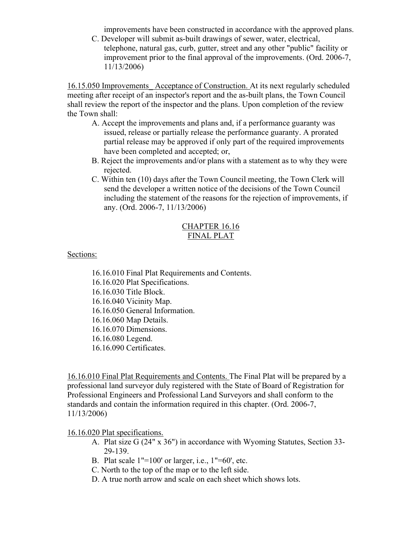improvements have been constructed in accordance with the approved plans.

C. Developer will submit as-built drawings of sewer, water, electrical, telephone, natural gas, curb, gutter, street and any other "public" facility or improvement prior to the final approval of the improvements. (Ord. 2006-7, 11/13/2006)

16.15.050 Improvements\_ Acceptance of Construction. At its next regularly scheduled meeting after receipt of an inspector's report and the as-built plans, the Town Council shall review the report of the inspector and the plans. Upon completion of the review the Town shall:

- A. Accept the improvements and plans and, if a performance guaranty was issued, release or partially release the performance guaranty. A prorated partial release may be approved if only part of the required improvements have been completed and accepted; or,
- B. Reject the improvements and/or plans with a statement as to why they were rejected.
- C. Within ten (10) days after the Town Council meeting, the Town Clerk will send the developer a written notice of the decisions of the Town Council including the statement of the reasons for the rejection of improvements, if any. (Ord. 2006-7, 11/13/2006)

### CHAPTER 16.16 FINAL PLAT

Sections:

16.16.010 Final Plat Requirements and Contents. 16.16.020 Plat Specifications. 16.16.030 Title Block. 16.16.040 Vicinity Map. 16.16.050 General Information. 16.16.060 Map Details. 16.16.070 Dimensions. 16.16.080 Legend. 16.16.090 Certificates.

16.16.010 Final Plat Requirements and Contents. The Final Plat will be prepared by a professional land surveyor duly registered with the State of Board of Registration for Professional Engineers and Professional Land Surveyors and shall conform to the standards and contain the information required in this chapter. (Ord. 2006-7, 11/13/2006)

16.16.020 Plat specifications.

- A. Plat size G (24" x 36") in accordance with Wyoming Statutes, Section 33- 29-139.
- B. Plat scale  $1" = 100'$  or larger, i.e.,  $1" = 60'$ , etc.
- C. North to the top of the map or to the left side.
- D. A true north arrow and scale on each sheet which shows lots.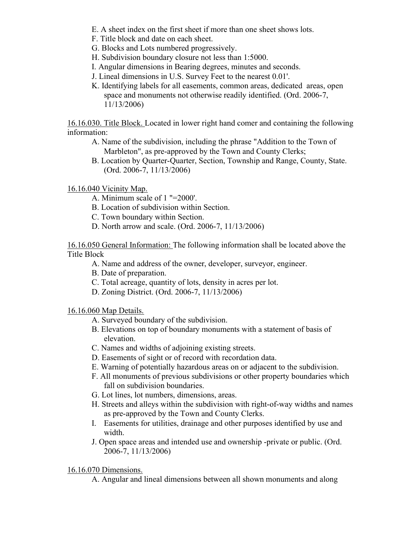- E. A sheet index on the first sheet if more than one sheet shows lots.
- F. Title block and date on each sheet.
- G. Blocks and Lots numbered progressively.
- H. Subdivision boundary closure not less than 1:5000.
- I. Angular dimensions in Bearing degrees, minutes and seconds.
- J. Lineal dimensions in U.S. Survey Feet to the nearest 0.01'.
- K. Identifying labels for all easements, common areas, dedicated areas, open space and monuments not otherwise readily identified. (Ord. 2006-7, 11/13/2006)

16.16.030. Title Block. Located in lower right hand comer and containing the following information:

- A. Name of the subdivision, including the phrase "Addition to the Town of Marbleton", as pre-approved by the Town and County Clerks;
- B. Location by Quarter-Quarter, Section, Township and Range, County, State. (Ord. 2006-7, 11/13/2006)

16.16.040 Vicinity Map.

- A. Minimum scale of 1 "=2000'.
- B. Location of subdivision within Section.
- C. Town boundary within Section.
- D. North arrow and scale. (Ord. 2006-7, 11/13/2006)

16.16.050 General Information: The following information shall be located above the Title Block

- A. Name and address of the owner, developer, surveyor, engineer.
- B. Date of preparation.
- C. Total acreage, quantity of lots, density in acres per lot.
- D. Zoning District. (Ord. 2006-7, 11/13/2006)

16.16.060 Map Details.

- A. Surveyed boundary of the subdivision.
- B. Elevations on top of boundary monuments with a statement of basis of elevation.
- C. Names and widths of adjoining existing streets.
- D. Easements of sight or of record with recordation data.
- E. Warning of potentially hazardous areas on or adjacent to the subdivision.
- F. All monuments of previous subdivisions or other property boundaries which fall on subdivision boundaries.
- G. Lot lines, lot numbers, dimensions, areas.
- H. Streets and alleys within the subdivision with right-of-way widths and names as pre-approved by the Town and County Clerks.
- I. Easements for utilities, drainage and other purposes identified by use and width.
- J. Open space areas and intended use and ownership -private or public. (Ord. 2006-7, 11/13/2006)

#### 16.16.070 Dimensions.

A. Angular and lineal dimensions between all shown monuments and along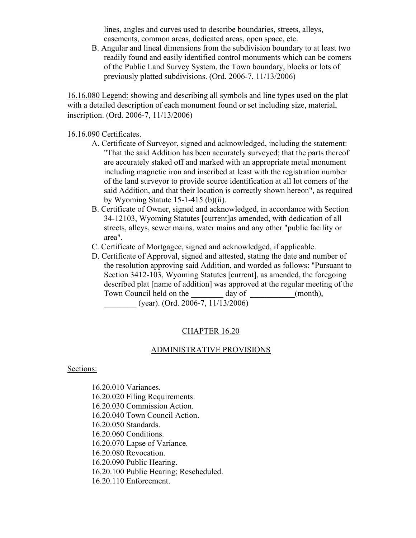lines, angles and curves used to describe boundaries, streets, alleys, easements, common areas, dedicated areas, open space, etc.

B. Angular and lineal dimensions from the subdivision boundary to at least two readily found and easily identified control monuments which can be comers of the Public Land Survey System, the Town boundary, blocks or lots of previously platted subdivisions. (Ord. 2006-7, 11/13/2006)

16.16.080 Legend: showing and describing all symbols and line types used on the plat with a detailed description of each monument found or set including size, material, inscription. (Ord. 2006-7, 11/13/2006)

#### 16.16.090 Certificates.

- A. Certificate of Surveyor, signed and acknowledged, including the statement: "That the said Addition has been accurately surveyed; that the parts thereof are accurately staked off and marked with an appropriate metal monument including magnetic iron and inscribed at least with the registration number of the land surveyor to provide source identification at all lot comers of the said Addition, and that their location is correctly shown hereon", as required by Wyoming Statute  $15-1-415$  (b)(ii).
- B. Certificate of Owner, signed and acknowledged, in accordance with Section 34-12103, Wyoming Statutes [current]as amended, with dedication of all streets, alleys, sewer mains, water mains and any other "public facility or area".
- C. Certificate of Mortgagee, signed and acknowledged, if applicable.
- D. Certificate of Approval, signed and attested, stating the date and number of the resolution approving said Addition, and worded as follows: "Pursuant to Section 3412-103, Wyoming Statutes [current], as amended, the foregoing described plat [name of addition] was approved at the regular meeting of the Town Council held on the day of (month), \_\_\_\_\_\_\_\_ (year). (Ord. 2006-7, 11/13/2006)

### CHAPTER 16.20

#### ADMINISTRATIVE PROVISIONS

#### Sections:

16.20.010 Variances. 16.20.020 Filing Requirements. 16.20.030 Commission Action. 16.20.040 Town Council Action. 16.20.050 Standards. 16.20.060 Conditions. 16.20.070 Lapse of Variance. 16.20.080 Revocation. 16.20.090 Public Hearing. 16.20.100 Public Hearing; Rescheduled. 16.20.110 Enforcement.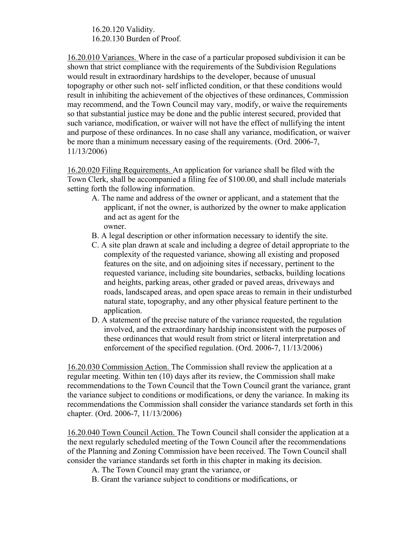16.20.120 Validity. 16.20.130 Burden of Proof.

16.20.010 Variances. Where in the case of a particular proposed subdivision it can be shown that strict compliance with the requirements of the Subdivision Regulations would result in extraordinary hardships to the developer, because of unusual topography or other such not- self inflicted condition, or that these conditions would result in inhibiting the achievement of the objectives of these ordinances, Commission may recommend, and the Town Council may vary, modify, or waive the requirements so that substantial justice may be done and the public interest secured, provided that such variance, modification, or waiver will not have the effect of nullifying the intent and purpose of these ordinances. In no case shall any variance, modification, or waiver be more than a minimum necessary easing of the requirements. (Ord. 2006-7, 11/13/2006)

16.20.020 Filing Requirements. An application for variance shall be filed with the Town Clerk, shall be accompanied a filing fee of \$100.00, and shall include materials setting forth the following information.

- A. The name and address of the owner or applicant, and a statement that the applicant, if not the owner, is authorized by the owner to make application and act as agent for the owner.
- B. A legal description or other information necessary to identify the site.
- C. A site plan drawn at scale and including a degree of detail appropriate to the complexity of the requested variance, showing all existing and proposed features on the site, and on adjoining sites if necessary, pertinent to the requested variance, including site boundaries, setbacks, building locations and heights, parking areas, other graded or paved areas, driveways and roads, landscaped areas, and open space areas to remain in their undisturbed natural state, topography, and any other physical feature pertinent to the application.
- D. A statement of the precise nature of the variance requested, the regulation involved, and the extraordinary hardship inconsistent with the purposes of these ordinances that would result from strict or literal interpretation and enforcement of the specified regulation. (Ord. 2006-7, 11/13/2006)

16.20.030 Commission Action. The Commission shall review the application at a regular meeting. Within ten (10) days after its review, the Commission shall make recommendations to the Town Council that the Town Council grant the variance, grant the variance subject to conditions or modifications, or deny the variance. In making its recommendations the Commission shall consider the variance standards set forth in this chapter. (Ord. 2006-7, 11/13/2006)

16.20.040 Town Council Action. The Town Council shall consider the application at a the next regularly scheduled meeting of the Town Council after the recommendations of the Planning and Zoning Commission have been received. The Town Council shall consider the variance standards set forth in this chapter in making its decision.

A. The Town Council may grant the variance, or

B. Grant the variance subject to conditions or modifications, or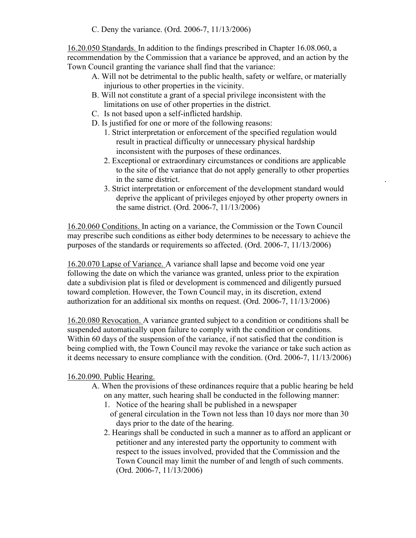C. Deny the variance. (Ord. 2006-7, 11/13/2006)

16.20.050 Standards. In addition to the findings prescribed in Chapter 16.08.060, a recommendation by the Commission that a variance be approved, and an action by the Town Council granting the variance shall find that the variance:

- A. Will not be detrimental to the public health, safety or welfare, or materially injurious to other properties in the vicinity.
- B. Will not constitute a grant of a special privilege inconsistent with the limitations on use of other properties in the district.
- C. Is not based upon a self-inflicted hardship.
- D. Is justified for one or more of the following reasons:
	- 1. Strict interpretation or enforcement of the specified regulation would result in practical difficulty or unnecessary physical hardship inconsistent with the purposes of these ordinances.
	- 2. Exceptional or extraordinary circumstances or conditions are applicable to the site of the variance that do not apply generally to other properties in the same district. .
	- 3. Strict interpretation or enforcement of the development standard would deprive the applicant of privileges enjoyed by other property owners in the same district. (Ord. 2006-7, 11/13/2006)

16.20.060 Conditions. In acting on a variance, the Commission or the Town Council may prescribe such conditions as either body determines to be necessary to achieve the purposes of the standards or requirements so affected. (Ord. 2006-7, 11/13/2006)

16.20.070 Lapse of Variance. A variance shall lapse and become void one year following the date on which the variance was granted, unless prior to the expiration date a subdivision plat is filed or development is commenced and diligently pursued toward completion. However, the Town Council may, in its discretion, extend authorization for an additional six months on request. (Ord. 2006-7, 11/13/2006)

16.20.080 Revocation. A variance granted subject to a condition or conditions shall be suspended automatically upon failure to comply with the condition or conditions. Within 60 days of the suspension of the variance, if not satisfied that the condition is being complied with, the Town Council may revoke the variance or take such action as it deems necessary to ensure compliance with the condition. (Ord. 2006-7, 11/13/2006)

## 16.20.090. Public Hearing.

- A. When the provisions of these ordinances require that a public hearing be held on any matter, such hearing shall be conducted in the following manner:
	- 1. Notice of the hearing shall be published in a newspaper
	- of general circulation in the Town not less than 10 days nor more than 30 days prior to the date of the hearing.
	- 2. Hearings shall be conducted in such a manner as to afford an applicant or petitioner and any interested party the opportunity to comment with respect to the issues involved, provided that the Commission and the Town Council may limit the number of and length of such comments. (Ord. 2006-7, 11/13/2006)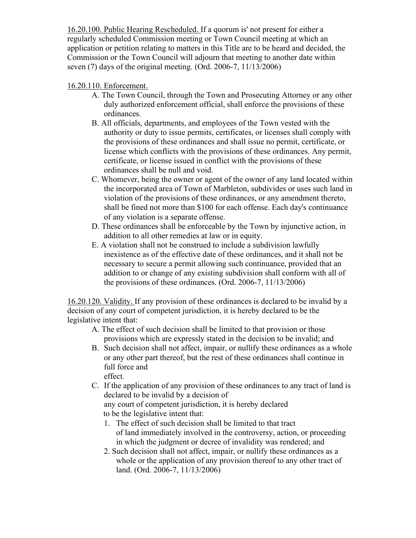16.20.100. Public Hearing Rescheduled. If a quorum is' not present for either a regularly scheduled Commission meeting or Town Council meeting at which an application or petition relating to matters in this Title are to be heard and decided, the Commission or the Town Council will adjourn that meeting to another date within seven (7) days of the original meeting. (Ord. 2006-7, 11/13/2006)

## 16.20.110. Enforcement.

- A. The Town Council, through the Town and Prosecuting Attorney or any other duly authorized enforcement official, shall enforce the provisions of these ordinances.
- B. All officials, departments, and employees of the Town vested with the authority or duty to issue permits, certificates, or licenses shall comply with the provisions of these ordinances and shall issue no permit, certificate, or license which conflicts with the provisions of these ordinances. Any permit, certificate, or license issued in conflict with the provisions of these ordinances shall be null and void.
- C. Whomever, being the owner or agent of the owner of any land located within the incorporated area of Town of Marbleton, subdivides or uses such land in violation of the provisions of these ordinances, or any amendment thereto, shall be fined not more than \$100 for each offense. Each day's continuance of any violation is a separate offense.
- D. These ordinances shall be enforceable by the Town by injunctive action, in addition to all other remedies at law or in equity.
- E. A violation shall not be construed to include a subdivision lawfully inexistence as of the effective date of these ordinances, and it shall not be necessary to secure a permit allowing such continuance, provided that an addition to or change of any existing subdivision shall conform with all of the provisions of these ordinances. (Ord. 2006-7, 11/13/2006)

16.20.120. Validity. If any provision of these ordinances is declared to be invalid by a decision of any court of competent jurisdiction, it is hereby declared to be the legislative intent that:

- A. The effect of such decision shall be limited to that provision or those provisions which are expressly stated in the decision to be invalid; and
- B. Such decision shall not affect, impair, or nullify these ordinances as a whole or any other part thereof, but the rest of these ordinances shall continue in full force and effect.
- C. If the application of any provision of these ordinances to any tract of land is declared to be invalid by a decision of

any court of competent jurisdiction, it is hereby declared to be the legislative intent that:

- 1. The effect of such decision shall be limited to that tract of land immediately involved in the controversy, action, or proceeding in which the judgment or decree of invalidity was rendered; and
- 2. Such decision shall not affect, impair, or nullify these ordinances as a whole or the application of any provision thereof to any other tract of land. (Ord. 2006-7, 11/13/2006)